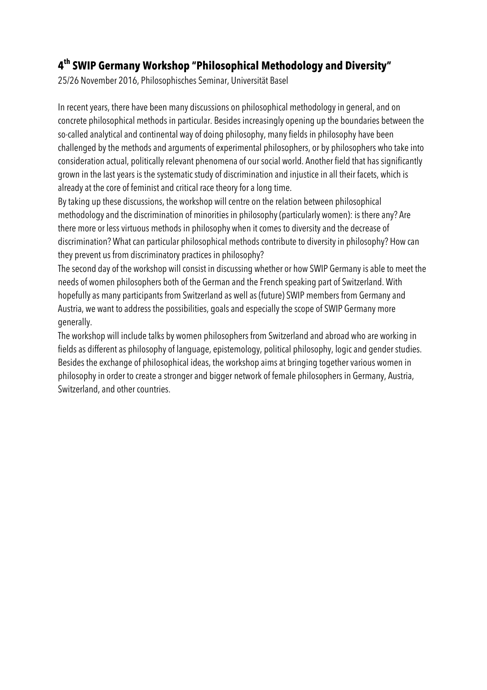# **4th SWIP Germany Workshop "Philosophical Methodology and Diversity"**

25/26 November 2016, Philosophisches Seminar, Universität Basel

In recent years, there have been many discussions on philosophical methodology in general, and on concrete philosophical methods in particular. Besides increasingly opening up the boundaries between the so-called analytical and continental way of doing philosophy, many fields in philosophy have been challenged by the methods and arguments of experimental philosophers, or by philosophers who take into consideration actual, politically relevant phenomena of our social world. Another field that has significantly grown in the last years is the systematic study of discrimination and injustice in all their facets, which is already at the core of feminist and critical race theory for a long time.

By taking up these discussions, the workshop will centre on the relation between philosophical methodology and the discrimination of minorities in philosophy (particularly women): is there any? Are there more or less virtuous methods in philosophy when it comes to diversity and the decrease of discrimination? What can particular philosophical methods contribute to diversity in philosophy? How can they prevent us from discriminatory practices in philosophy?

The second day of the workshop will consist in discussing whether or how SWIP Germany is able to meet the needs of women philosophers both of the German and the French speaking part of Switzerland. With hopefully as many participants from Switzerland as well as (future) SWIP members from Germany and Austria, we want to address the possibilities, goals and especially the scope of SWIP Germany more generally.

The workshop will include talks by women philosophers from Switzerland and abroad who are working in fields as different as philosophy of language, epistemology, political philosophy, logic and gender studies. Besides the exchange of philosophical ideas, the workshop aims at bringing together various women in philosophy in order to create a stronger and bigger network of female philosophers in Germany, Austria, Switzerland, and other countries.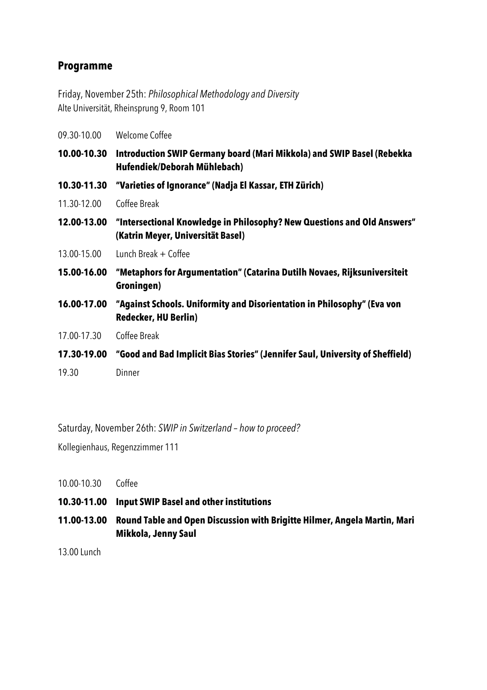#### **Programme**

Friday, November 25th: *Philosophical Methodology and Diversity* Alte Universität, Rheinsprung 9, Room 101

| 09.30-10.00 | Welcome Coffee                                                                                               |
|-------------|--------------------------------------------------------------------------------------------------------------|
| 10.00-10.30 | Introduction SWIP Germany board (Mari Mikkola) and SWIP Basel (Rebekka<br>Hufendiek/Deborah Mühlebach)       |
| 10.30-11.30 | "Varieties of Ignorance" (Nadja El Kassar, ETH Zürich)                                                       |
| 11.30-12.00 | Coffee Break                                                                                                 |
| 12.00-13.00 | "Intersectional Knowledge in Philosophy? New Questions and Old Answers"<br>(Katrin Meyer, Universität Basel) |
| 13.00-15.00 | Lunch Break $+$ Coffee                                                                                       |
| 15.00-16.00 | "Metaphors for Argumentation" (Catarina Dutilh Novaes, Rijksuniversiteit<br>Groningen)                       |
| 16.00-17.00 | "Against Schools. Uniformity and Disorientation in Philosophy" (Eva von<br><b>Redecker, HU Berlin)</b>       |
| 17.00-17.30 | Coffee Break                                                                                                 |
| 17.30-19.00 | "Good and Bad Implicit Bias Stories" (Jennifer Saul, University of Sheffield)                                |
| 19.30       | Dinner                                                                                                       |

Saturday, November 26th: *SWIP in Switzerland – how to proceed?*

Kollegienhaus, Regenzzimmer 111

- 10.00-10.30 Coffee
- **10.30-11.00 Input SWIP Basel and other institutions**
- **11.00-13.00 Round Table and Open Discussion with Brigitte Hilmer, Angela Martin, Mari Mikkola, Jenny Saul**

13.00 Lunch